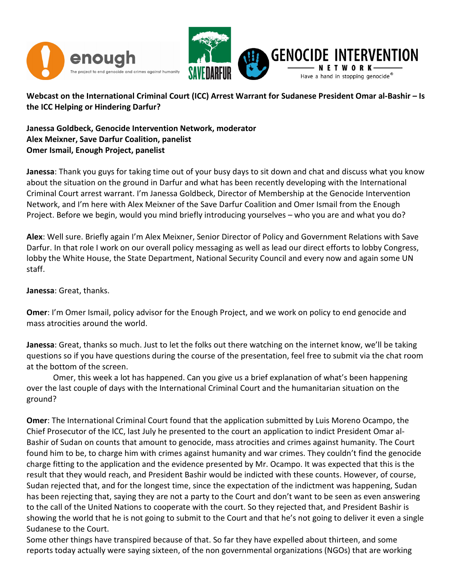

Webcast on the International Criminal Court (ICC) Arrest Warrant for Sudanese President Omar al-Bashir – Is the ICC Helping or Hindering Darfur?

Janessa Goldbeck, Genocide Intervention Network, moderator Alex Meixner, Save Darfur Coalition, panelist Omer Ismail, Enough Project, panelist

Janessa: Thank you guys for taking time out of your busy days to sit down and chat and discuss what you know about the situation on the ground in Darfur and what has been recently developing with the International Criminal Court arrest warrant. I'm Janessa Goldbeck, Director of Membership at the Genocide Intervention Network, and I'm here with Alex Meixner of the Save Darfur Coalition and Omer Ismail from the Enough Project. Before we begin, would you mind briefly introducing yourselves – who you are and what you do?

Alex: Well sure. Briefly again I'm Alex Meixner, Senior Director of Policy and Government Relations with Save Darfur. In that role I work on our overall policy messaging as well as lead our direct efforts to lobby Congress, lobby the White House, the State Department, National Security Council and every now and again some UN staff.

Janessa: Great, thanks.

Omer: I'm Omer Ismail, policy advisor for the Enough Project, and we work on policy to end genocide and mass atrocities around the world.

Janessa: Great, thanks so much. Just to let the folks out there watching on the internet know, we'll be taking questions so if you have questions during the course of the presentation, feel free to submit via the chat room at the bottom of the screen.

 Omer, this week a lot has happened. Can you give us a brief explanation of what's been happening over the last couple of days with the International Criminal Court and the humanitarian situation on the ground?

Omer: The International Criminal Court found that the application submitted by Luis Moreno Ocampo, the Chief Prosecutor of the ICC, last July he presented to the court an application to indict President Omar al-Bashir of Sudan on counts that amount to genocide, mass atrocities and crimes against humanity. The Court found him to be, to charge him with crimes against humanity and war crimes. They couldn't find the genocide charge fitting to the application and the evidence presented by Mr. Ocampo. It was expected that this is the result that they would reach, and President Bashir would be indicted with these counts. However, of course, Sudan rejected that, and for the longest time, since the expectation of the indictment was happening, Sudan has been rejecting that, saying they are not a party to the Court and don't want to be seen as even answering to the call of the United Nations to cooperate with the court. So they rejected that, and President Bashir is showing the world that he is not going to submit to the Court and that he's not going to deliver it even a single Sudanese to the Court.

Some other things have transpired because of that. So far they have expelled about thirteen, and some reports today actually were saying sixteen, of the non governmental organizations (NGOs) that are working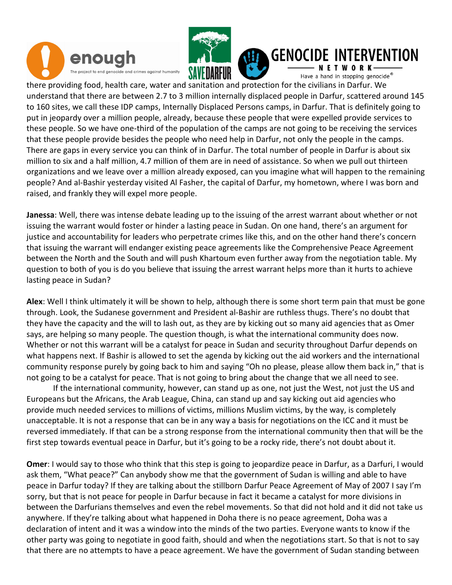



I

#### **GENOCIDE INTERVENTION**

Have a hand in stopping genocide®

there providing food, health care, water and sanitation and protection for the civilians in Darfur. We understand that there are between 2.7 to 3 million internally displaced people in Darfur, scattered around 145 to 160 sites, we call these IDP camps, Internally Displaced Persons camps, in Darfur. That is definitely going to put in jeopardy over a million people, already, because these people that were expelled provide services to these people. So we have one-third of the population of the camps are not going to be receiving the services that these people provide besides the people who need help in Darfur, not only the people in the camps. There are gaps in every service you can think of in Darfur. The total number of people in Darfur is about six million to six and a half million, 4.7 million of them are in need of assistance. So when we pull out thirteen organizations and we leave over a million already exposed, can you imagine what will happen to the remaining people? And al-Bashir yesterday visited Al Fasher, the capital of Darfur, my hometown, where I was born and raised, and frankly they will expel more people.

Janessa: Well, there was intense debate leading up to the issuing of the arrest warrant about whether or not issuing the warrant would foster or hinder a lasting peace in Sudan. On one hand, there's an argument for justice and accountability for leaders who perpetrate crimes like this, and on the other hand there's concern that issuing the warrant will endanger existing peace agreements like the Comprehensive Peace Agreement between the North and the South and will push Khartoum even further away from the negotiation table. My question to both of you is do you believe that issuing the arrest warrant helps more than it hurts to achieve lasting peace in Sudan?

Alex: Well I think ultimately it will be shown to help, although there is some short term pain that must be gone through. Look, the Sudanese government and President al-Bashir are ruthless thugs. There's no doubt that they have the capacity and the will to lash out, as they are by kicking out so many aid agencies that as Omer says, are helping so many people. The question though, is what the international community does now. Whether or not this warrant will be a catalyst for peace in Sudan and security throughout Darfur depends on what happens next. If Bashir is allowed to set the agenda by kicking out the aid workers and the international community response purely by going back to him and saying "Oh no please, please allow them back in," that is not going to be a catalyst for peace. That is not going to bring about the change that we all need to see.

 If the international community, however, can stand up as one, not just the West, not just the US and Europeans but the Africans, the Arab League, China, can stand up and say kicking out aid agencies who provide much needed services to millions of victims, millions Muslim victims, by the way, is completely unacceptable. It is not a response that can be in any way a basis for negotiations on the ICC and it must be reversed immediately. If that can be a strong response from the international community then that will be the first step towards eventual peace in Darfur, but it's going to be a rocky ride, there's not doubt about it.

Omer: I would say to those who think that this step is going to jeopardize peace in Darfur, as a Darfuri, I would ask them, "What peace?" Can anybody show me that the government of Sudan is willing and able to have peace in Darfur today? If they are talking about the stillborn Darfur Peace Agreement of May of 2007 I say I'm sorry, but that is not peace for people in Darfur because in fact it became a catalyst for more divisions in between the Darfurians themselves and even the rebel movements. So that did not hold and it did not take us anywhere. If they're talking about what happened in Doha there is no peace agreement, Doha was a declaration of intent and it was a window into the minds of the two parties. Everyone wants to know if the other party was going to negotiate in good faith, should and when the negotiations start. So that is not to say that there are no attempts to have a peace agreement. We have the government of Sudan standing between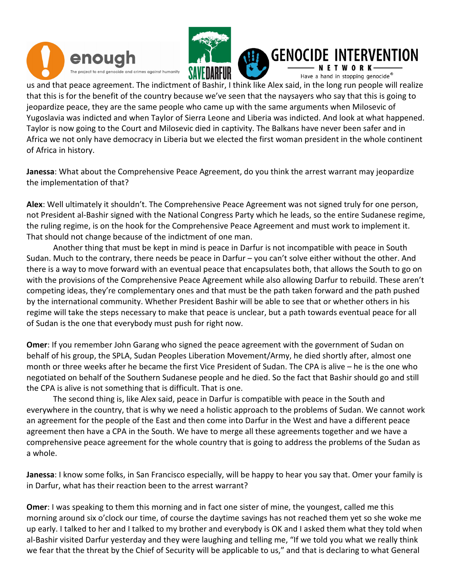





I us and that peace agreement. The indictment of Bashir, I think like Alex said, in the long run people will realize that this is for the benefit of the country because we've seen that the naysayers who say that this is going to

jeopardize peace, they are the same people who came up with the same arguments when Milosevic of Yugoslavia was indicted and when Taylor of Sierra Leone and Liberia was indicted. And look at what happened. Taylor is now going to the Court and Milosevic died in captivity. The Balkans have never been safer and in Africa we not only have democracy in Liberia but we elected the first woman president in the whole continent of Africa in history.

Janessa: What about the Comprehensive Peace Agreement, do you think the arrest warrant may jeopardize the implementation of that?

Alex: Well ultimately it shouldn't. The Comprehensive Peace Agreement was not signed truly for one person, not President al-Bashir signed with the National Congress Party which he leads, so the entire Sudanese regime, the ruling regime, is on the hook for the Comprehensive Peace Agreement and must work to implement it. That should not change because of the indictment of one man.

 Another thing that must be kept in mind is peace in Darfur is not incompatible with peace in South Sudan. Much to the contrary, there needs be peace in Darfur – you can't solve either without the other. And there is a way to move forward with an eventual peace that encapsulates both, that allows the South to go on with the provisions of the Comprehensive Peace Agreement while also allowing Darfur to rebuild. These aren't competing ideas, they're complementary ones and that must be the path taken forward and the path pushed by the international community. Whether President Bashir will be able to see that or whether others in his regime will take the steps necessary to make that peace is unclear, but a path towards eventual peace for all of Sudan is the one that everybody must push for right now.

Omer: If you remember John Garang who signed the peace agreement with the government of Sudan on behalf of his group, the SPLA, Sudan Peoples Liberation Movement/Army, he died shortly after, almost one month or three weeks after he became the first Vice President of Sudan. The CPA is alive – he is the one who negotiated on behalf of the Southern Sudanese people and he died. So the fact that Bashir should go and still the CPA is alive is not something that is difficult. That is one.

 The second thing is, like Alex said, peace in Darfur is compatible with peace in the South and everywhere in the country, that is why we need a holistic approach to the problems of Sudan. We cannot work an agreement for the people of the East and then come into Darfur in the West and have a different peace agreement then have a CPA in the South. We have to merge all these agreements together and we have a comprehensive peace agreement for the whole country that is going to address the problems of the Sudan as a whole.

Janessa: I know some folks, in San Francisco especially, will be happy to hear you say that. Omer your family is in Darfur, what has their reaction been to the arrest warrant?

Omer: I was speaking to them this morning and in fact one sister of mine, the youngest, called me this morning around six o'clock our time, of course the daytime savings has not reached them yet so she woke me up early. I talked to her and I talked to my brother and everybody is OK and I asked them what they told when al-Bashir visited Darfur yesterday and they were laughing and telling me, "If we told you what we really think we fear that the threat by the Chief of Security will be applicable to us," and that is declaring to what General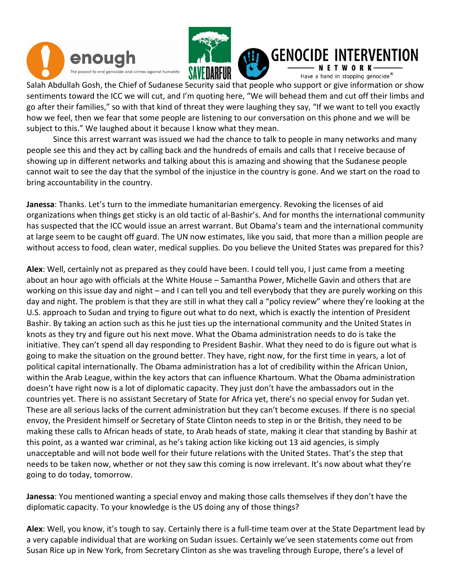



I

# **GENOCIDE INTERVENTION**

Have a hand in stopping genocide®

Salah Abdullah Gosh, the Chief of Sudanese Security said that people who support or give information or show sentiments toward the ICC we will cut, and I'm quoting here, "We will behead them and cut off their limbs and go after their families," so with that kind of threat they were laughing they say, "If we want to tell you exactly how we feel, then we fear that some people are listening to our conversation on this phone and we will be subject to this." We laughed about it because I know what they mean.

 Since this arrest warrant was issued we had the chance to talk to people in many networks and many people see this and they act by calling back and the hundreds of emails and calls that I receive because of showing up in different networks and talking about this is amazing and showing that the Sudanese people cannot wait to see the day that the symbol of the injustice in the country is gone. And we start on the road to bring accountability in the country.

Janessa: Thanks. Let's turn to the immediate humanitarian emergency. Revoking the licenses of aid organizations when things get sticky is an old tactic of al-Bashir's. And for months the international community has suspected that the ICC would issue an arrest warrant. But Obama's team and the international community at large seem to be caught off guard. The UN now estimates, like you said, that more than a million people are without access to food, clean water, medical supplies. Do you believe the United States was prepared for this?

Alex: Well, certainly not as prepared as they could have been. I could tell you, I just came from a meeting about an hour ago with officials at the White House – Samantha Power, Michelle Gavin and others that are working on this issue day and night – and I can tell you and tell everybody that they are purely working on this day and night. The problem is that they are still in what they call a "policy review" where they're looking at the U.S. approach to Sudan and trying to figure out what to do next, which is exactly the intention of President Bashir. By taking an action such as this he just ties up the international community and the United States in knots as they try and figure out his next move. What the Obama administration needs to do is take the initiative. They can't spend all day responding to President Bashir. What they need to do is figure out what is going to make the situation on the ground better. They have, right now, for the first time in years, a lot of political capital internationally. The Obama administration has a lot of credibility within the African Union, within the Arab League, within the key actors that can influence Khartoum. What the Obama administration doesn't have right now is a lot of diplomatic capacity. They just don't have the ambassadors out in the countries yet. There is no assistant Secretary of State for Africa yet, there's no special envoy for Sudan yet. These are all serious lacks of the current administration but they can't become excuses. If there is no special envoy, the President himself or Secretary of State Clinton needs to step in or the British, they need to be making these calls to African heads of state, to Arab heads of state, making it clear that standing by Bashir at this point, as a wanted war criminal, as he's taking action like kicking out 13 aid agencies, is simply unacceptable and will not bode well for their future relations with the United States. That's the step that needs to be taken now, whether or not they saw this coming is now irrelevant. It's now about what they're going to do today, tomorrow.

Janessa: You mentioned wanting a special envoy and making those calls themselves if they don't have the diplomatic capacity. To your knowledge is the US doing any of those things?

Alex: Well, you know, it's tough to say. Certainly there is a full-time team over at the State Department lead by a very capable individual that are working on Sudan issues. Certainly we've seen statements come out from Susan Rice up in New York, from Secretary Clinton as she was traveling through Europe, there's a level of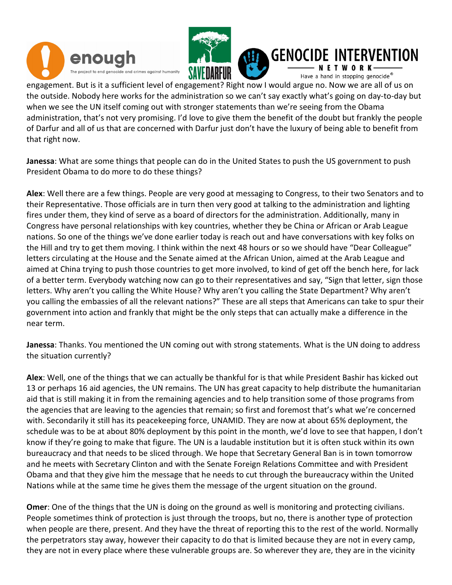



#### **GENOCIDE FRVFNTION**

Have a hand in stopping genocide®

engagement. But is it a sufficient level of engagement? Right now I would argue no. Now we are all of us on the outside. Nobody here works for the administration so we can't say exactly what's going on day-to-day but when we see the UN itself coming out with stronger statements than we're seeing from the Obama administration, that's not very promising. I'd love to give them the benefit of the doubt but frankly the people of Darfur and all of us that are concerned with Darfur just don't have the luxury of being able to benefit from that right now.

Janessa: What are some things that people can do in the United States to push the US government to push President Obama to do more to do these things?

Alex: Well there are a few things. People are very good at messaging to Congress, to their two Senators and to their Representative. Those officials are in turn then very good at talking to the administration and lighting fires under them, they kind of serve as a board of directors for the administration. Additionally, many in Congress have personal relationships with key countries, whether they be China or African or Arab League nations. So one of the things we've done earlier today is reach out and have conversations with key folks on the Hill and try to get them moving. I think within the next 48 hours or so we should have "Dear Colleague" letters circulating at the House and the Senate aimed at the African Union, aimed at the Arab League and aimed at China trying to push those countries to get more involved, to kind of get off the bench here, for lack of a better term. Everybody watching now can go to their representatives and say, "Sign that letter, sign those letters. Why aren't you calling the White House? Why aren't you calling the State Department? Why aren't you calling the embassies of all the relevant nations?" These are all steps that Americans can take to spur their government into action and frankly that might be the only steps that can actually make a difference in the near term.

Janessa: Thanks. You mentioned the UN coming out with strong statements. What is the UN doing to address the situation currently?

Alex: Well, one of the things that we can actually be thankful for is that while President Bashir has kicked out 13 or perhaps 16 aid agencies, the UN remains. The UN has great capacity to help distribute the humanitarian aid that is still making it in from the remaining agencies and to help transition some of those programs from the agencies that are leaving to the agencies that remain; so first and foremost that's what we're concerned with. Secondarily it still has its peacekeeping force, UNAMID. They are now at about 65% deployment, the schedule was to be at about 80% deployment by this point in the month, we'd love to see that happen, I don't know if they're going to make that figure. The UN is a laudable institution but it is often stuck within its own bureaucracy and that needs to be sliced through. We hope that Secretary General Ban is in town tomorrow and he meets with Secretary Clinton and with the Senate Foreign Relations Committee and with President Obama and that they give him the message that he needs to cut through the bureaucracy within the United Nations while at the same time he gives them the message of the urgent situation on the ground.

Omer: One of the things that the UN is doing on the ground as well is monitoring and protecting civilians. People sometimes think of protection is just through the troops, but no, there is another type of protection when people are there, present. And they have the threat of reporting this to the rest of the world. Normally the perpetrators stay away, however their capacity to do that is limited because they are not in every camp, they are not in every place where these vulnerable groups are. So wherever they are, they are in the vicinity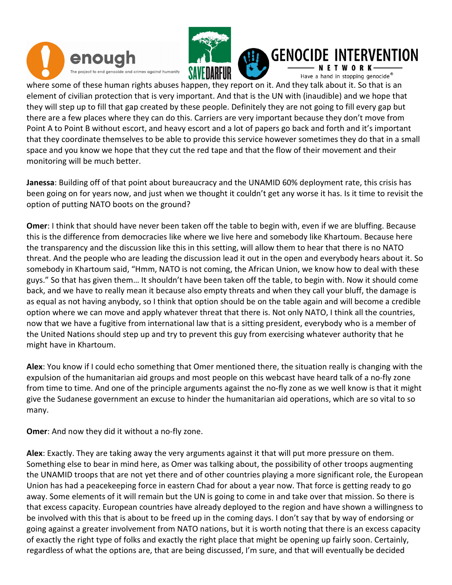



#### **GENOCIDE INTERVENTION**

Have a hand in stopping genocide®

where some of these human rights abuses happen, they report on it. And they talk about it. So that is an element of civilian protection that is very important. And that is the UN with (inaudible) and we hope that they will step up to fill that gap created by these people. Definitely they are not going to fill every gap but there are a few places where they can do this. Carriers are very important because they don't move from Point A to Point B without escort, and heavy escort and a lot of papers go back and forth and it's important that they coordinate themselves to be able to provide this service however sometimes they do that in a small space and you know we hope that they cut the red tape and that the flow of their movement and their monitoring will be much better.

Janessa: Building off of that point about bureaucracy and the UNAMID 60% deployment rate, this crisis has been going on for years now, and just when we thought it couldn't get any worse it has. Is it time to revisit the option of putting NATO boots on the ground?

Omer: I think that should have never been taken off the table to begin with, even if we are bluffing. Because this is the difference from democracies like where we live here and somebody like Khartoum. Because here the transparency and the discussion like this in this setting, will allow them to hear that there is no NATO threat. And the people who are leading the discussion lead it out in the open and everybody hears about it. So somebody in Khartoum said, "Hmm, NATO is not coming, the African Union, we know how to deal with these guys." So that has given them… It shouldn't have been taken off the table, to begin with. Now it should come back, and we have to really mean it because also empty threats and when they call your bluff, the damage is as equal as not having anybody, so I think that option should be on the table again and will become a credible option where we can move and apply whatever threat that there is. Not only NATO, I think all the countries, now that we have a fugitive from international law that is a sitting president, everybody who is a member of the United Nations should step up and try to prevent this guy from exercising whatever authority that he might have in Khartoum.

Alex: You know if I could echo something that Omer mentioned there, the situation really is changing with the expulsion of the humanitarian aid groups and most people on this webcast have heard talk of a no-fly zone from time to time. And one of the principle arguments against the no-fly zone as we well know is that it might give the Sudanese government an excuse to hinder the humanitarian aid operations, which are so vital to so many.

Omer: And now they did it without a no-fly zone.

Alex: Exactly. They are taking away the very arguments against it that will put more pressure on them. Something else to bear in mind here, as Omer was talking about, the possibility of other troops augmenting the UNAMID troops that are not yet there and of other countries playing a more significant role, the European Union has had a peacekeeping force in eastern Chad for about a year now. That force is getting ready to go away. Some elements of it will remain but the UN is going to come in and take over that mission. So there is that excess capacity. European countries have already deployed to the region and have shown a willingness to be involved with this that is about to be freed up in the coming days. I don't say that by way of endorsing or going against a greater involvement from NATO nations, but it is worth noting that there is an excess capacity of exactly the right type of folks and exactly the right place that might be opening up fairly soon. Certainly, regardless of what the options are, that are being discussed, I'm sure, and that will eventually be decided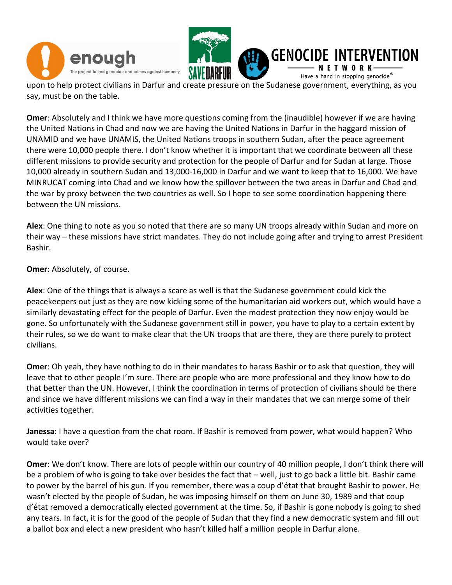



**GENOCI FRVENTION** Have a hand in stopping genocide®

upon to help protect civilians in Darfur and create pressure on the Sudanese government, everything, as you say, must be on the table.

Omer: Absolutely and I think we have more questions coming from the (inaudible) however if we are having the United Nations in Chad and now we are having the United Nations in Darfur in the haggard mission of UNAMID and we have UNAMIS, the United Nations troops in southern Sudan, after the peace agreement there were 10,000 people there. I don't know whether it is important that we coordinate between all these different missions to provide security and protection for the people of Darfur and for Sudan at large. Those 10,000 already in southern Sudan and 13,000-16,000 in Darfur and we want to keep that to 16,000. We have MINRUCAT coming into Chad and we know how the spillover between the two areas in Darfur and Chad and the war by proxy between the two countries as well. So I hope to see some coordination happening there between the UN missions.

Alex: One thing to note as you so noted that there are so many UN troops already within Sudan and more on their way – these missions have strict mandates. They do not include going after and trying to arrest President Bashir.

Omer: Absolutely, of course.

Alex: One of the things that is always a scare as well is that the Sudanese government could kick the peacekeepers out just as they are now kicking some of the humanitarian aid workers out, which would have a similarly devastating effect for the people of Darfur. Even the modest protection they now enjoy would be gone. So unfortunately with the Sudanese government still in power, you have to play to a certain extent by their rules, so we do want to make clear that the UN troops that are there, they are there purely to protect civilians.

Omer: Oh yeah, they have nothing to do in their mandates to harass Bashir or to ask that question, they will leave that to other people I'm sure. There are people who are more professional and they know how to do that better than the UN. However, I think the coordination in terms of protection of civilians should be there and since we have different missions we can find a way in their mandates that we can merge some of their activities together.

Janessa: I have a question from the chat room. If Bashir is removed from power, what would happen? Who would take over?

Omer: We don't know. There are lots of people within our country of 40 million people, I don't think there will be a problem of who is going to take over besides the fact that – well, just to go back a little bit. Bashir came to power by the barrel of his gun. If you remember, there was a coup d'état that brought Bashir to power. He wasn't elected by the people of Sudan, he was imposing himself on them on June 30, 1989 and that coup d'état removed a democratically elected government at the time. So, if Bashir is gone nobody is going to shed any tears. In fact, it is for the good of the people of Sudan that they find a new democratic system and fill out a ballot box and elect a new president who hasn't killed half a million people in Darfur alone.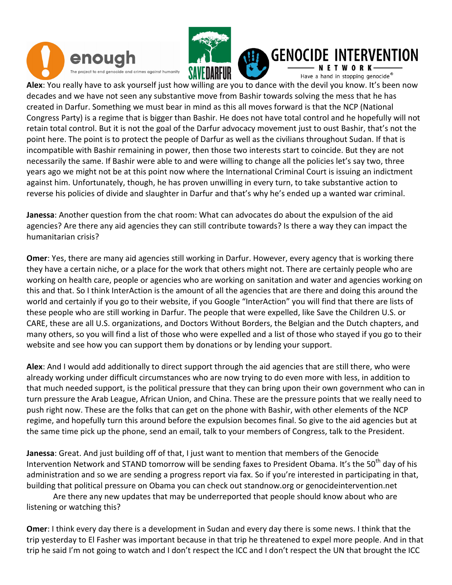



#### **GENOCIDE INTERVENTION**

Have a hand in stopping genocide®

Alex: You really have to ask yourself just how willing are you to dance with the devil you know. It's been now decades and we have not seen any substantive move from Bashir towards solving the mess that he has created in Darfur. Something we must bear in mind as this all moves forward is that the NCP (National Congress Party) is a regime that is bigger than Bashir. He does not have total control and he hopefully will not retain total control. But it is not the goal of the Darfur advocacy movement just to oust Bashir, that's not the point here. The point is to protect the people of Darfur as well as the civilians throughout Sudan. If that is incompatible with Bashir remaining in power, then those two interests start to coincide. But they are not necessarily the same. If Bashir were able to and were willing to change all the policies let's say two, three years ago we might not be at this point now where the International Criminal Court is issuing an indictment against him. Unfortunately, though, he has proven unwilling in every turn, to take substantive action to reverse his policies of divide and slaughter in Darfur and that's why he's ended up a wanted war criminal.

Janessa: Another question from the chat room: What can advocates do about the expulsion of the aid agencies? Are there any aid agencies they can still contribute towards? Is there a way they can impact the humanitarian crisis?

Omer: Yes, there are many aid agencies still working in Darfur. However, every agency that is working there they have a certain niche, or a place for the work that others might not. There are certainly people who are working on health care, people or agencies who are working on sanitation and water and agencies working on this and that. So I think InterAction is the amount of all the agencies that are there and doing this around the world and certainly if you go to their website, if you Google "InterAction" you will find that there are lists of these people who are still working in Darfur. The people that were expelled, like Save the Children U.S. or CARE, these are all U.S. organizations, and Doctors Without Borders, the Belgian and the Dutch chapters, and many others, so you will find a list of those who were expelled and a list of those who stayed if you go to their website and see how you can support them by donations or by lending your support.

Alex: And I would add additionally to direct support through the aid agencies that are still there, who were already working under difficult circumstances who are now trying to do even more with less, in addition to that much needed support, is the political pressure that they can bring upon their own government who can in turn pressure the Arab League, African Union, and China. These are the pressure points that we really need to push right now. These are the folks that can get on the phone with Bashir, with other elements of the NCP regime, and hopefully turn this around before the expulsion becomes final. So give to the aid agencies but at the same time pick up the phone, send an email, talk to your members of Congress, talk to the President.

Janessa: Great. And just building off of that, I just want to mention that members of the Genocide Intervention Network and STAND tomorrow will be sending faxes to President Obama. It's the 50<sup>th</sup> day of his administration and so we are sending a progress report via fax. So if you're interested in participating in that, building that political pressure on Obama you can check out standnow.org or genocideintervention.net

Are there any new updates that may be underreported that people should know about who are listening or watching this?

Omer: I think every day there is a development in Sudan and every day there is some news. I think that the trip yesterday to El Fasher was important because in that trip he threatened to expel more people. And in that trip he said I'm not going to watch and I don't respect the ICC and I don't respect the UN that brought the ICC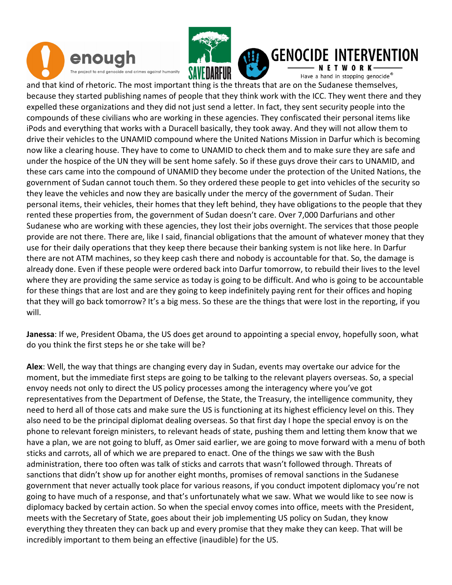



#### **GENOCIDE INTERVENTION**

Have a hand in stopping genocide®

and that kind of rhetoric. The most important thing is the threats that are on the Sudanese themselves, because they started publishing names of people that they think work with the ICC. They went there and they expelled these organizations and they did not just send a letter. In fact, they sent security people into the compounds of these civilians who are working in these agencies. They confiscated their personal items like iPods and everything that works with a Duracell basically, they took away. And they will not allow them to drive their vehicles to the UNAMID compound where the United Nations Mission in Darfur which is becoming now like a clearing house. They have to come to UNAMID to check them and to make sure they are safe and under the hospice of the UN they will be sent home safely. So if these guys drove their cars to UNAMID, and these cars came into the compound of UNAMID they become under the protection of the United Nations, the government of Sudan cannot touch them. So they ordered these people to get into vehicles of the security so they leave the vehicles and now they are basically under the mercy of the government of Sudan. Their personal items, their vehicles, their homes that they left behind, they have obligations to the people that they rented these properties from, the government of Sudan doesn't care. Over 7,000 Darfurians and other Sudanese who are working with these agencies, they lost their jobs overnight. The services that those people provide are not there. There are, like I said, financial obligations that the amount of whatever money that they use for their daily operations that they keep there because their banking system is not like here. In Darfur there are not ATM machines, so they keep cash there and nobody is accountable for that. So, the damage is already done. Even if these people were ordered back into Darfur tomorrow, to rebuild their lives to the level where they are providing the same service as today is going to be difficult. And who is going to be accountable for these things that are lost and are they going to keep indefinitely paying rent for their offices and hoping that they will go back tomorrow? It's a big mess. So these are the things that were lost in the reporting, if you will.

Janessa: If we, President Obama, the US does get around to appointing a special envoy, hopefully soon, what do you think the first steps he or she take will be?

Alex: Well, the way that things are changing every day in Sudan, events may overtake our advice for the moment, but the immediate first steps are going to be talking to the relevant players overseas. So, a special envoy needs not only to direct the US policy processes among the interagency where you've got representatives from the Department of Defense, the State, the Treasury, the intelligence community, they need to herd all of those cats and make sure the US is functioning at its highest efficiency level on this. They also need to be the principal diplomat dealing overseas. So that first day I hope the special envoy is on the phone to relevant foreign ministers, to relevant heads of state, pushing them and letting them know that we have a plan, we are not going to bluff, as Omer said earlier, we are going to move forward with a menu of both sticks and carrots, all of which we are prepared to enact. One of the things we saw with the Bush administration, there too often was talk of sticks and carrots that wasn't followed through. Threats of sanctions that didn't show up for another eight months, promises of removal sanctions in the Sudanese government that never actually took place for various reasons, if you conduct impotent diplomacy you're not going to have much of a response, and that's unfortunately what we saw. What we would like to see now is diplomacy backed by certain action. So when the special envoy comes into office, meets with the President, meets with the Secretary of State, goes about their job implementing US policy on Sudan, they know everything they threaten they can back up and every promise that they make they can keep. That will be incredibly important to them being an effective (inaudible) for the US.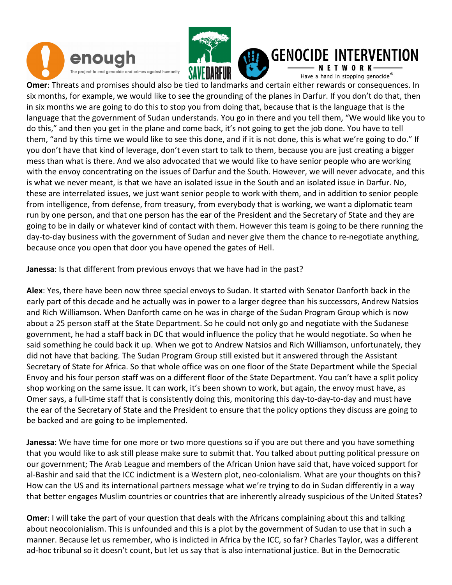



### **GENOCIDE INTERVENTION**

Have a hand in stopping genocide®

Omer: Threats and promises should also be tied to landmarks and certain either rewards or consequences. In six months, for example, we would like to see the grounding of the planes in Darfur. If you don't do that, then in six months we are going to do this to stop you from doing that, because that is the language that is the language that the government of Sudan understands. You go in there and you tell them, "We would like you to do this," and then you get in the plane and come back, it's not going to get the job done. You have to tell them, "and by this time we would like to see this done, and if it is not done, this is what we're going to do." If you don't have that kind of leverage, don't even start to talk to them, because you are just creating a bigger mess than what is there. And we also advocated that we would like to have senior people who are working with the envoy concentrating on the issues of Darfur and the South. However, we will never advocate, and this is what we never meant, is that we have an isolated issue in the South and an isolated issue in Darfur. No, these are interrelated issues, we just want senior people to work with them, and in addition to senior people from intelligence, from defense, from treasury, from everybody that is working, we want a diplomatic team run by one person, and that one person has the ear of the President and the Secretary of State and they are going to be in daily or whatever kind of contact with them. However this team is going to be there running the day-to-day business with the government of Sudan and never give them the chance to re-negotiate anything, because once you open that door you have opened the gates of Hell.

Janessa: Is that different from previous envoys that we have had in the past?

Alex: Yes, there have been now three special envoys to Sudan. It started with Senator Danforth back in the early part of this decade and he actually was in power to a larger degree than his successors, Andrew Natsios and Rich Williamson. When Danforth came on he was in charge of the Sudan Program Group which is now about a 25 person staff at the State Department. So he could not only go and negotiate with the Sudanese government, he had a staff back in DC that would influence the policy that he would negotiate. So when he said something he could back it up. When we got to Andrew Natsios and Rich Williamson, unfortunately, they did not have that backing. The Sudan Program Group still existed but it answered through the Assistant Secretary of State for Africa. So that whole office was on one floor of the State Department while the Special Envoy and his four person staff was on a different floor of the State Department. You can't have a split policy shop working on the same issue. It can work, it's been shown to work, but again, the envoy must have, as Omer says, a full-time staff that is consistently doing this, monitoring this day-to-day-to-day and must have the ear of the Secretary of State and the President to ensure that the policy options they discuss are going to be backed and are going to be implemented.

Janessa: We have time for one more or two more questions so if you are out there and you have something that you would like to ask still please make sure to submit that. You talked about putting political pressure on our government; The Arab League and members of the African Union have said that, have voiced support for al-Bashir and said that the ICC indictment is a Western plot, neo-colonialism. What are your thoughts on this? How can the US and its international partners message what we're trying to do in Sudan differently in a way that better engages Muslim countries or countries that are inherently already suspicious of the United States?

Omer: I will take the part of your question that deals with the Africans complaining about this and talking about neocolonialism. This is unfounded and this is a plot by the government of Sudan to use that in such a manner. Because let us remember, who is indicted in Africa by the ICC, so far? Charles Taylor, was a different ad-hoc tribunal so it doesn't count, but let us say that is also international justice. But in the Democratic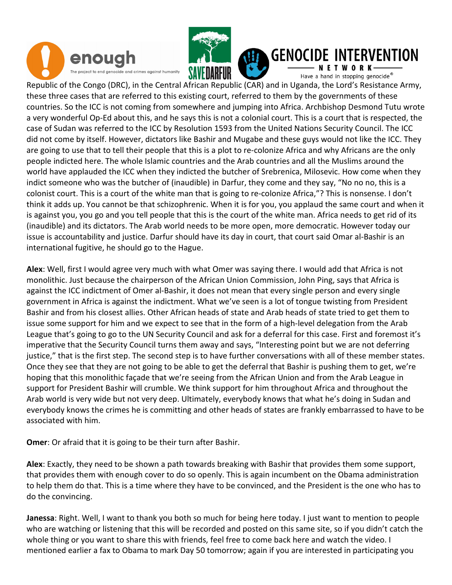



## **GENOCIDE INTERVENTION**

Have a hand in stopping genocide®

Republic of the Congo (DRC), in the Central African Republic (CAR) and in Uganda, the Lord's Resistance Army, these three cases that are referred to this existing court, referred to them by the governments of these countries. So the ICC is not coming from somewhere and jumping into Africa. Archbishop Desmond Tutu wrote a very wonderful Op-Ed about this, and he says this is not a colonial court. This is a court that is respected, the case of Sudan was referred to the ICC by Resolution 1593 from the United Nations Security Council. The ICC did not come by itself. However, dictators like Bashir and Mugabe and these guys would not like the ICC. They are going to use that to tell their people that this is a plot to re-colonize Africa and why Africans are the only people indicted here. The whole Islamic countries and the Arab countries and all the Muslims around the world have applauded the ICC when they indicted the butcher of Srebrenica, Milosevic. How come when they indict someone who was the butcher of (inaudible) in Darfur, they come and they say, "No no no, this is a colonist court. This is a court of the white man that is going to re-colonize Africa,"? This is nonsense. I don't think it adds up. You cannot be that schizophrenic. When it is for you, you applaud the same court and when it is against you, you go and you tell people that this is the court of the white man. Africa needs to get rid of its (inaudible) and its dictators. The Arab world needs to be more open, more democratic. However today our issue is accountability and justice. Darfur should have its day in court, that court said Omar al-Bashir is an international fugitive, he should go to the Hague.

Alex: Well, first I would agree very much with what Omer was saying there. I would add that Africa is not monolithic. Just because the chairperson of the African Union Commission, John Ping, says that Africa is against the ICC indictment of Omer al-Bashir, it does not mean that every single person and every single government in Africa is against the indictment. What we've seen is a lot of tongue twisting from President Bashir and from his closest allies. Other African heads of state and Arab heads of state tried to get them to issue some support for him and we expect to see that in the form of a high-level delegation from the Arab League that's going to go to the UN Security Council and ask for a deferral for this case. First and foremost it's imperative that the Security Council turns them away and says, "Interesting point but we are not deferring justice," that is the first step. The second step is to have further conversations with all of these member states. Once they see that they are not going to be able to get the deferral that Bashir is pushing them to get, we're hoping that this monolithic façade that we're seeing from the African Union and from the Arab League in support for President Bashir will crumble. We think support for him throughout Africa and throughout the Arab world is very wide but not very deep. Ultimately, everybody knows that what he's doing in Sudan and everybody knows the crimes he is committing and other heads of states are frankly embarrassed to have to be associated with him.

**Omer:** Or afraid that it is going to be their turn after Bashir.

Alex: Exactly, they need to be shown a path towards breaking with Bashir that provides them some support, that provides them with enough cover to do so openly. This is again incumbent on the Obama administration to help them do that. This is a time where they have to be convinced, and the President is the one who has to do the convincing.

Janessa: Right. Well, I want to thank you both so much for being here today. I just want to mention to people who are watching or listening that this will be recorded and posted on this same site, so if you didn't catch the whole thing or you want to share this with friends, feel free to come back here and watch the video. I mentioned earlier a fax to Obama to mark Day 50 tomorrow; again if you are interested in participating you